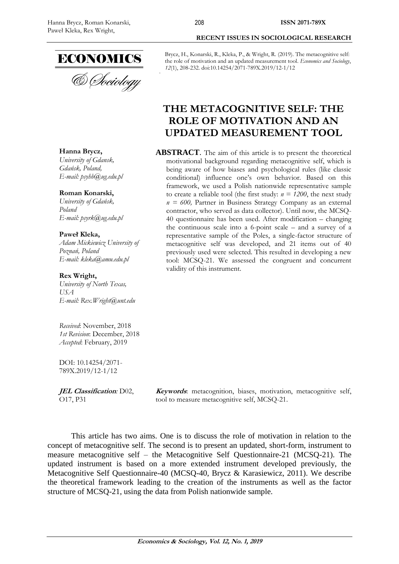

& Sociology

# **RECENT ISSUES IN SOCIOLOGICAL RESEARCH**

Brycz, H., Konarski, R., Kleka, P., & Wright, R. (2019). The metacognitive self: the role of motivation and an updated measurement tool. *Economics and Sociology*, *12*(1), 208-232. doi:10.14254/2071-789X.2019/12-1/12

## **THE METACOGNITIVE SELF: THE ROLE OF MOTIVATION AND AN UPDATED MEASUREMENT TOOL**

**ABSTRACT**. The aim of this article is to present the theoretical motivational background regarding metacognitive self, which is being aware of how biases and psychological rules (like classic conditional) influence one's own behavior. Based on this framework, we used a Polish nationwide representative sample to create a reliable tool (the first study:  $n = 1200$ , the next study *n = 600,* Partner in Business Strategy Company as an external contractor, who served as data collector). Until now, the MCSQ-40 questionnaire has been used. After modification – changing the continuous scale into a 6-point scale – and a survey of a representative sample of the Poles, a single-factor structure of metacognitive self was developed, and 21 items out of 40 previously used were selected. This resulted in developing a new tool: MCSQ-21. We assessed the congruent and concurrent validity of this instrument.

**Hanna Brycz,** *University of Gdansk, Gdańsk, Poland, E-mail: psyhb@ug.edu.pl*

#### **Roman Konarski,**

*University of Gdańsk, Poland E-mail: psyrk@ug.edu.pl*

#### **Paweł Kleka,**

*Adam Mickiewicz University of Poznań, Poland E-mail: kleka@amu.edu.pl*

#### **Rex Wright,**

*University of North Texas, USA E-mail: Rex.Wright@unt.edu*

*Received*: November, 2018 *1st Revision*: December, 2018 *Accepted*: February, 2019

DOI: 10.14254/2071- 789X.2019/12-1/12

**JEL Classification***:* D02, O17, P31

**Keywords**: metacognition, biases, motivation, metacognitive self, tool to measure metacognitive self, MCSQ-21.

This article has two aims. One is to discuss the role of motivation in relation to the concept of metacognitive self. The second is to present an updated, short-form, instrument to measure metacognitive self – the Metacognitive Self Questionnaire-21 (MCSQ-21). The updated instrument is based on a more extended instrument developed previously, the Metacognitive Self Questionnaire-40 (MCSQ-40, Brycz & Karasiewicz, 2011). We describe the theoretical framework leading to the creation of the instruments as well as the factor structure of MCSQ-21, using the data from Polish nationwide sample.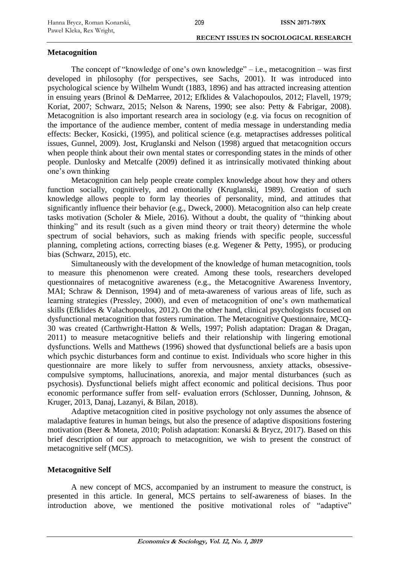#### **Metacognition**

The concept of "knowledge of one's own knowledge" – i.e., metacognition – was first developed in philosophy (for perspectives, see Sachs, 2001). It was introduced into psychological science by Wilhelm Wundt (1883, 1896) and has attracted increasing attention in ensuing years (Brinol & DeMarree, 2012; Efklides & Valachopoulos, 2012; Flavell, 1979; Koriat, 2007; Schwarz, 2015; Nelson & Narens, 1990; see also: Petty & Fabrigar, 2008). Metacognition is also important research area in sociology (e.g. via focus on recognition of the importance of the audience member, content of media message in understanding media effects: Becker, Kosicki, (1995), and political science (e.g. metapractises addresses political issues, Gunnel, 2009). Jost, Kruglanski and Nelson (1998) argued that metacognition occurs when people think about their own mental states or corresponding states in the minds of other people. Dunlosky and Metcalfe (2009) defined it as intrinsically motivated thinking about one's own thinking

Metacognition can help people create complex knowledge about how they and others function socially, cognitively, and emotionally (Kruglanski, 1989). Creation of such knowledge allows people to form lay theories of personality, mind, and attitudes that significantly influence their behavior (e.g., Dweck, 2000). Metacognition also can help create tasks motivation (Scholer & Miele, 2016). Without a doubt, the quality of "thinking about thinking" and its result (such as a given mind theory or trait theory) determine the whole spectrum of social behaviors, such as making friends with specific people, successful planning, completing actions, correcting biases (e.g. Wegener & Petty, 1995), or producing bias (Schwarz, 2015), etc.

Simultaneously with the development of the knowledge of human metacognition, tools to measure this phenomenon were created. Among these tools, researchers developed questionnaires of metacognitive awareness (e.g., the Metacognitive Awareness Inventory, MAI; Schraw & Dennison, 1994) and of meta-awareness of various areas of life, such as learning strategies (Pressley, 2000), and even of metacognition of one's own mathematical skills (Efklides & Valachopoulos, 2012). On the other hand, clinical psychologists focused on dysfunctional metacognition that fosters rumination. The Metacognitive Questionnaire, MCQ-30 was created (Carthwright-Hatton & Wells, 1997; Polish adaptation: Dragan & Dragan, 2011) to measure metacognitive beliefs and their relationship with lingering emotional dysfunctions. Wells and Matthews (1996) showed that dysfunctional beliefs are a basis upon which psychic disturbances form and continue to exist. Individuals who score higher in this questionnaire are more likely to suffer from nervousness, anxiety attacks, obsessivecompulsive symptoms, hallucinations, anorexia, and major mental disturbances (such as psychosis). Dysfunctional beliefs might affect economic and political decisions. Thus poor economic performance suffer from self- evaluation errors (Schlosser, Dunning, Johnson, & Kruger, 2013, Danaj, Lazanyi, & Bilan, 2018).

Adaptive metacognition cited in positive psychology not only assumes the absence of maladaptive features in human beings, but also the presence of adaptive dispositions fostering motivation (Beer & Moneta, 2010; Polish adaptation: Konarski & Brycz, 2017). Based on this brief description of our approach to metacognition, we wish to present the construct of metacognitive self (MCS).

## **Metacognitive Self**

A new concept of MCS, accompanied by an instrument to measure the construct, is presented in this article. In general, MCS pertains to self-awareness of biases. In the introduction above, we mentioned the positive motivational roles of "adaptive"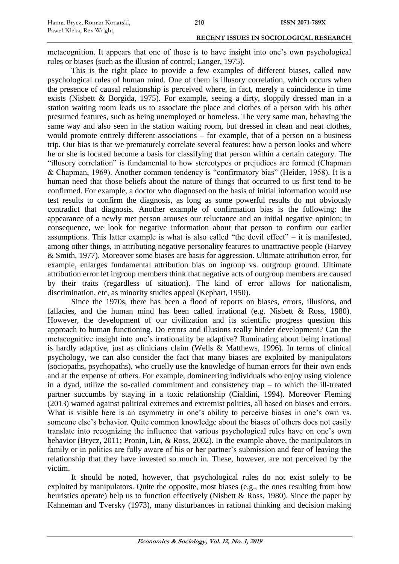metacognition. It appears that one of those is to have insight into one's own psychological rules or biases (such as the illusion of control; Langer, 1975).

This is the right place to provide a few examples of different biases, called now psychological rules of human mind. One of them is illusory correlation, which occurs when the presence of causal relationship is perceived where, in fact, merely a coincidence in time exists (Nisbett & Borgida, 1975). For example, seeing a dirty, sloppily dressed man in a station waiting room leads us to associate the place and clothes of a person with his other presumed features, such as being unemployed or homeless. The very same man, behaving the same way and also seen in the station waiting room, but dressed in clean and neat clothes, would promote entirely different associations – for example, that of a person on a business trip. Our bias is that we prematurely correlate several features: how a person looks and where he or she is located become a basis for classifying that person within a certain category. The "illusory correlation" is fundamental to how stereotypes or prejudices are formed (Chapman & Chapman, 1969). Another common tendency is "confirmatory bias" (Heider, 1958). It is a human need that those beliefs about the nature of things that occurred to us first tend to be confirmed. For example, a doctor who diagnosed on the basis of initial information would use test results to confirm the diagnosis, as long as some powerful results do not obviously contradict that diagnosis. Another example of confirmation bias is the following: the appearance of a newly met person arouses our reluctance and an initial negative opinion; in consequence, we look for negative information about that person to confirm our earlier assumptions. This latter example is what is also called "the devil effect" – it is manifested, among other things, in attributing negative personality features to unattractive people (Harvey & Smith, 1977). Moreover some biases are basis for aggression. Ultimate attribution error, for example, enlarges fundamental attribution bias on ingroup vs. outgroup ground. Ultimate attribution error let ingroup members think that negative acts of outgroup members are caused by their traits (regardless of situation). The kind of error allows for nationalism, discrimination, etc, as minority studies appeal (Kephart, 1950).

Since the 1970s, there has been a flood of reports on biases, errors, illusions, and fallacies, and the human mind has been called irrational (e.g. Nisbett  $\&$  Ross, 1980). However, the development of our civilization and its scientific progress question this approach to human functioning. Do errors and illusions really hinder development? Can the metacognitive insight into one's irrationality be adaptive? Ruminating about being irrational is hardly adaptive, just as clinicians claim (Wells & Matthews, 1996). In terms of clinical psychology, we can also consider the fact that many biases are exploited by manipulators (sociopaths, psychopaths), who cruelly use the knowledge of human errors for their own ends and at the expense of others. For example, domineering individuals who enjoy using violence in a dyad, utilize the so-called commitment and consistency trap – to which the ill-treated partner succumbs by staying in a toxic relationship (Cialdini, 1994). Moreover Fleming (2013) warned against political extremes and extremist politics, all based on biases and errors. What is visible here is an asymmetry in one's ability to perceive biases in one's own vs. someone else's behavior. Quite common knowledge about the biases of others does not easily translate into recognizing the influence that various psychological rules have on one's own behavior (Brycz, 2011; Pronin, Lin, & Ross, 2002). In the example above, the manipulators in family or in politics are fully aware of his or her partner's submission and fear of leaving the relationship that they have invested so much in. These, however, are not perceived by the victim.

It should be noted, however, that psychological rules do not exist solely to be exploited by manipulators. Quite the opposite, most biases (e.g., the ones resulting from how heuristics operate) help us to function effectively (Nisbett & Ross, 1980). Since the paper by Kahneman and Tversky (1973), many disturbances in rational thinking and decision making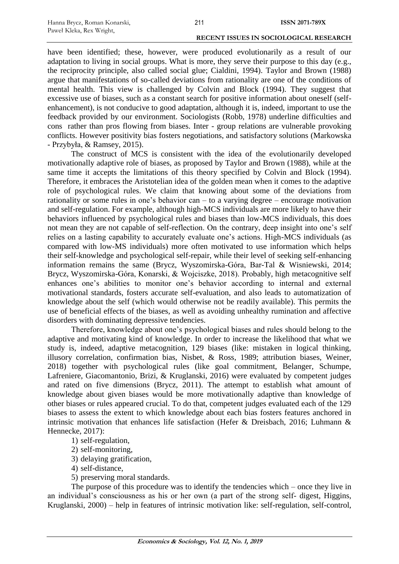have been identified; these, however, were produced evolutionarily as a result of our adaptation to living in social groups. What is more, they serve their purpose to this day (e.g., the reciprocity principle, also called social glue; Cialdini, 1994). Taylor and Brown (1988) argue that manifestations of so-called deviations from rationality are one of the conditions of mental health. This view is challenged by Colvin and Block (1994). They suggest that excessive use of biases, such as a constant search for positive information about oneself (selfenhancement), is not conducive to good adaptation, although it is, indeed, important to use the feedback provided by our environment. Sociologists (Robb, 1978) underline difficulties and cons rather than pros flowing from biases. Inter - group relations are vulnerable provoking conflicts. However positivity bias fosters negotiations, and satisfactory solutions (Markowska - Przybyła, & Ramsey, 2015).

The construct of MCS is consistent with the idea of the evolutionarily developed motivationally adaptive role of biases, as proposed by Taylor and Brown (1988), while at the same time it accepts the limitations of this theory specified by Colvin and Block (1994). Therefore, it embraces the Aristotelian idea of the golden mean when it comes to the adaptive role of psychological rules. We claim that knowing about some of the deviations from rationality or some rules in one's behavior can – to a varying degree – encourage motivation and self-regulation. For example, although high-MCS individuals are more likely to have their behaviors influenced by psychological rules and biases than low-MCS individuals, this does not mean they are not capable of self-reflection. On the contrary, deep insight into one's self relies on a lasting capability to accurately evaluate one's actions. High-MCS individuals (as compared with low-MS individuals) more often motivated to use information which helps their self-knowledge and psychological self-repair, while their level of seeking self-enhancing information remains the same (Brycz, Wyszomirska-Góra, Bar-Tal & Wisniewski, 2014; Brycz, Wyszomirska-Góra, Konarski, & Wojciszke, 2018). Probably, high metacognitive self enhances one's abilities to monitor one's behavior according to internal and external motivational standards, fosters accurate self-evaluation, and also leads to automatization of knowledge about the self (which would otherwise not be readily available). This permits the use of beneficial effects of the biases, as well as avoiding unhealthy rumination and affective disorders with dominating depressive tendencies.

Therefore, knowledge about one's psychological biases and rules should belong to the adaptive and motivating kind of knowledge. In order to increase the likelihood that what we study is, indeed, adaptive metacognition, 129 biases (like: mistaken in logical thinking, illusory correlation, confirmation bias, Nisbet, & Ross, 1989; attribution biases, Weiner, 2018) together with psychological rules (like goal commitment, Belanger, Schumpe, Lafreniere, Giacomantonio, Brizi, & Kruglanski, 2016) were evaluated by competent judges and rated on five dimensions (Brycz, 2011). The attempt to establish what amount of knowledge about given biases would be more motivationally adaptive than knowledge of other biases or rules appeared crucial. To do that, competent judges evaluated each of the 129 biases to assess the extent to which knowledge about each bias fosters features anchored in intrinsic motivation that enhances life satisfaction (Hefer & Dreisbach, 2016; Luhmann & Hennecke, 2017):

- 1) self-regulation,
- 2) self-monitoring,
- 3) delaying gratification,
- 4) self-distance,
- 5) preserving moral standards.

The purpose of this procedure was to identify the tendencies which – once they live in an individual's consciousness as his or her own (a part of the strong self- digest, Higgins, Kruglanski, 2000) – help in features of intrinsic motivation like: self-regulation, self-control,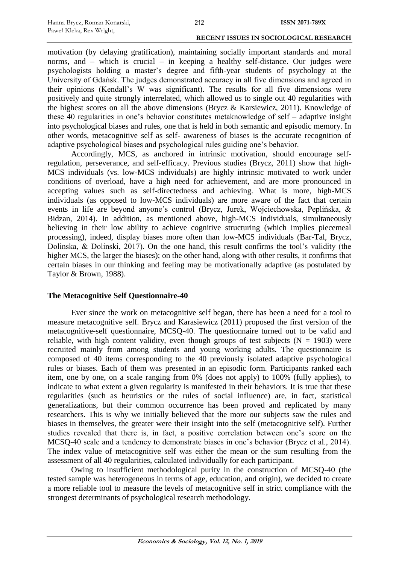motivation (by delaying gratification), maintaining socially important standards and moral norms, and – which is crucial – in keeping a healthy self-distance. Our judges were psychologists holding a master's degree and fifth-year students of psychology at the University of Gdańsk. The judges demonstrated accuracy in all five dimensions and agreed in their opinions (Kendall's W was significant). The results for all five dimensions were positively and quite strongly interrelated, which allowed us to single out 40 regularities with the highest scores on all the above dimensions (Brycz & Karsiewicz, 2011). Knowledge of these 40 regularities in one's behavior constitutes metaknowledge of self – adaptive insight into psychological biases and rules, one that is held in both semantic and episodic memory. In other words, metacognitive self as self- awareness of biases is the accurate recognition of adaptive psychological biases and psychological rules guiding one's behavior.

Accordingly, MCS, as anchored in intrinsic motivation, should encourage selfregulation, perseverance, and self-efficacy. Previous studies (Brycz, 2011) show that high-MCS individuals (vs. low-MCS individuals) are highly intrinsic motivated to work under conditions of overload, have a high need for achievement, and are more pronounced in accepting values such as self-directedness and achieving. What is more, high-MCS individuals (as opposed to low-MCS individuals) are more aware of the fact that certain events in life are beyond anyone's control (Brycz, Jurek, Wojciechowska, Peplińska, & Bidzan, 2014). In addition, as mentioned above, high-MCS individuals, simultaneously believing in their low ability to achieve cognitive structuring (which implies piecemeal processing), indeed, display biases more often than low-MCS individuals (Bar-Tal, Brycz, Dolinska, & Dolinski, 2017). On the one hand, this result confirms the tool's validity (the higher MCS, the larger the biases); on the other hand, along with other results, it confirms that certain biases in our thinking and feeling may be motivationally adaptive (as postulated by Taylor & Brown, 1988).

## **The Metacognitive Self Questionnaire-40**

Ever since the work on metacognitive self began, there has been a need for a tool to measure metacognitive self. Brycz and Karasiewicz (2011) proposed the first version of the metacognitive-self questionnaire, MCSQ-40. The questionnaire turned out to be valid and reliable, with high content validity, even though groups of test subjects ( $N = 1903$ ) were recruited mainly from among students and young working adults. The questionnaire is composed of 40 items corresponding to the 40 previously isolated adaptive psychological rules or biases. Each of them was presented in an episodic form. Participants ranked each item, one by one, on a scale ranging from 0% (does not apply) to 100% (fully applies), to indicate to what extent a given regularity is manifested in their behaviors. It is true that these regularities (such as heuristics or the rules of social influence) are, in fact, statistical generalizations, but their common occurrence has been proved and replicated by many researchers. This is why we initially believed that the more our subjects saw the rules and biases in themselves, the greater were their insight into the self (metacognitive self). Further studies revealed that there is, in fact, a positive correlation between one's score on the MCSQ-40 scale and a tendency to demonstrate biases in one's behavior (Brycz et al., 2014). The index value of metacognitive self was either the mean or the sum resulting from the assessment of all 40 regularities, calculated individually for each participant.

Owing to insufficient methodological purity in the construction of MCSQ-40 (the tested sample was heterogeneous in terms of age, education, and origin), we decided to create a more reliable tool to measure the levels of metacognitive self in strict compliance with the strongest determinants of psychological research methodology.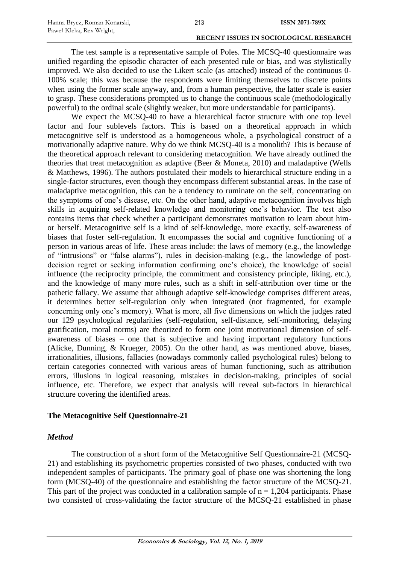The test sample is a representative sample of Poles. The MCSQ-40 questionnaire was unified regarding the episodic character of each presented rule or bias, and was stylistically improved. We also decided to use the Likert scale (as attached) instead of the continuous 0- 100% scale; this was because the respondents were limiting themselves to discrete points when using the former scale anyway, and, from a human perspective, the latter scale is easier to grasp. These considerations prompted us to change the continuous scale (methodologically powerful) to the ordinal scale (slightly weaker, but more understandable for participants).

We expect the MCSQ-40 to have a hierarchical factor structure with one top level factor and four sublevels factors. This is based on a theoretical approach in which metacognitive self is understood as a homogeneous whole, a psychological construct of a motivationally adaptive nature. Why do we think MCSQ-40 is a monolith? This is because of the theoretical approach relevant to considering metacognition. We have already outlined the theories that treat metacognition as adaptive (Beer & Moneta, 2010) and maladaptive (Wells & Matthews, 1996). The authors postulated their models to hierarchical structure ending in a single-factor structures, even though they encompass different substantial areas. In the case of maladaptive metacognition, this can be a tendency to ruminate on the self, concentrating on the symptoms of one's disease, etc. On the other hand, adaptive metacognition involves high skills in acquiring self-related knowledge and monitoring one's behavior. The test also contains items that check whether a participant demonstrates motivation to learn about himor herself. Metacognitive self is a kind of self-knowledge, more exactly, self-awareness of biases that foster self-regulation. It encompasses the social and cognitive functioning of a person in various areas of life. These areas include: the laws of memory (e.g., the knowledge of "intrusions" or "false alarms"), rules in decision-making (e.g., the knowledge of postdecision regret or seeking information confirming one's choice), the knowledge of social influence (the reciprocity principle, the commitment and consistency principle, liking, etc.), and the knowledge of many more rules, such as a shift in self-attribution over time or the pathetic fallacy. We assume that although adaptive self-knowledge comprises different areas, it determines better self-regulation only when integrated (not fragmented, for example concerning only one's memory). What is more, all five dimensions on which the judges rated our 129 psychological regularities (self-regulation, self-distance, self-monitoring, delaying gratification, moral norms) are theorized to form one joint motivational dimension of selfawareness of biases – one that is subjective and having important regulatory functions (Alicke, Dunning, & Krueger, 2005). On the other hand, as was mentioned above, biases, irrationalities, illusions, fallacies (nowadays commonly called psychological rules) belong to certain categories connected with various areas of human functioning, such as attribution errors, illusions in logical reasoning, mistakes in decision-making, principles of social influence, etc. Therefore, we expect that analysis will reveal sub-factors in hierarchical structure covering the identified areas.

## **The Metacognitive Self Questionnaire-21**

## *Method*

The construction of a short form of the Metacognitive Self Questionnaire-21 (MCSQ-21) and establishing its psychometric properties consisted of two phases, conducted with two independent samples of participants. The primary goal of phase one was shortening the long form (MCSQ-40) of the questionnaire and establishing the factor structure of the MCSQ-21. This part of the project was conducted in a calibration sample of  $n = 1,204$  participants. Phase two consisted of cross-validating the factor structure of the MCSQ-21 established in phase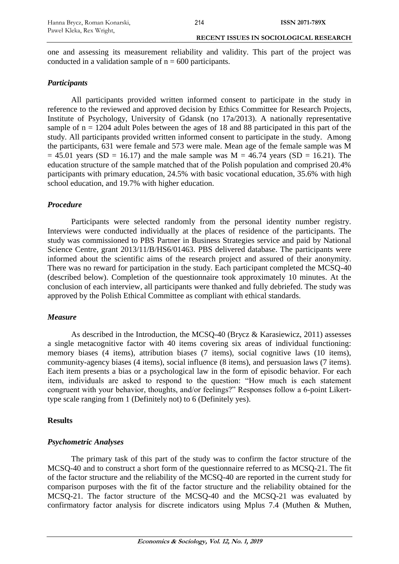one and assessing its measurement reliability and validity. This part of the project was conducted in a validation sample of  $n = 600$  participants.

## *Participants*

All participants provided written informed consent to participate in the study in reference to the reviewed and approved decision by Ethics Committee for Research Projects, Institute of Psychology, University of Gdansk (no 17a/2013). A nationally representative sample of  $n = 1204$  adult Poles between the ages of 18 and 88 participated in this part of the study. All participants provided written informed consent to participate in the study. Among the participants, 631 were female and 573 were male. Mean age of the female sample was M  $= 45.01$  years (SD = 16.17) and the male sample was M =  $46.74$  years (SD = 16.21). The education structure of the sample matched that of the Polish population and comprised 20.4% participants with primary education, 24.5% with basic vocational education, 35.6% with high school education, and 19.7% with higher education.

## *Procedure*

Participants were selected randomly from the personal identity number registry. Interviews were conducted individually at the places of residence of the participants. The study was commissioned to PBS Partner in Business Strategies service and paid by National Science Centre, grant 2013/11/B/HS6/01463. PBS delivered database. The participants were informed about the scientific aims of the research project and assured of their anonymity. There was no reward for participation in the study. Each participant completed the MCSQ-40 (described below). Completion of the questionnaire took approximately 10 minutes. At the conclusion of each interview, all participants were thanked and fully debriefed. The study was approved by the Polish Ethical Committee as compliant with ethical standards.

## *Measure*

As described in the Introduction, the MCSQ-40 (Brycz & Karasiewicz, 2011) assesses a single metacognitive factor with 40 items covering six areas of individual functioning: memory biases (4 items), attribution biases (7 items), social cognitive laws (10 items), community-agency biases (4 items), social influence (8 items), and persuasion laws (7 items). Each item presents a bias or a psychological law in the form of episodic behavior. For each item, individuals are asked to respond to the question: "How much is each statement congruent with your behavior, thoughts, and/or feelings?" Responses follow a 6-point Likerttype scale ranging from 1 (Definitely not) to 6 (Definitely yes).

## **Results**

## *Psychometric Analyses*

The primary task of this part of the study was to confirm the factor structure of the MCSQ-40 and to construct a short form of the questionnaire referred to as MCSQ-21. The fit of the factor structure and the reliability of the MCSQ-40 are reported in the current study for comparison purposes with the fit of the factor structure and the reliability obtained for the MCSQ-21. The factor structure of the MCSQ-40 and the MCSQ-21 was evaluated by confirmatory factor analysis for discrete indicators using Mplus 7.4 (Muthen & Muthen,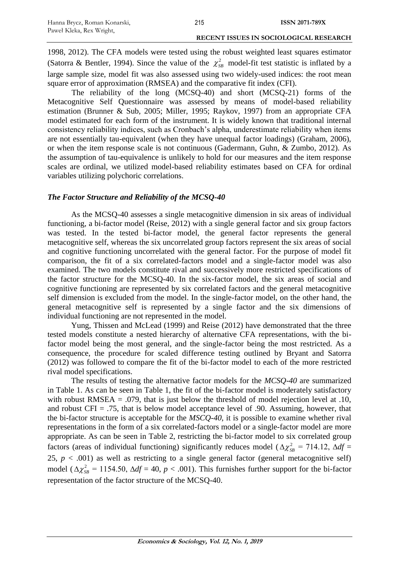1998, 2012). The CFA models were tested using the robust weighted least squares estimator (Satorra & Bentler, 1994). Since the value of the  $\chi^2_{SB}$  model-fit test statistic is inflated by a large sample size, model fit was also assessed using two widely-used indices: the root mean square error of approximation (RMSEA) and the comparative fit index (CFI).

The reliability of the long (MCSQ-40) and short (MCSQ-21) forms of the Metacognitive Self Questionnaire was assessed by means of model-based reliability estimation (Brunner & Sub, 2005; Miller, 1995; Raykov, 1997) from an appropriate CFA model estimated for each form of the instrument. It is widely known that traditional internal consistency reliability indices, such as Cronbach's alpha, underestimate reliability when items are not essentially tau-equivalent (when they have unequal factor loadings) (Graham, 2006), or when the item response scale is not continuous (Gadermann, Guhn, & Zumbo, 2012). As the assumption of tau-equivalence is unlikely to hold for our measures and the item response scales are ordinal, we utilized model-based reliability estimates based on CFA for ordinal variables utilizing polychoric correlations.

#### *The Factor Structure and Reliability of the MCSQ-40*

As the MCSQ-40 assesses a single metacognitive dimension in six areas of individual functioning, a bi-factor model (Reise, 2012) with a single general factor and six group factors was tested. In the tested bi-factor model, the general factor represents the general metacognitive self, whereas the six uncorrelated group factors represent the six areas of social and cognitive functioning uncorrelated with the general factor. For the purpose of model fit comparison, the fit of a six correlated-factors model and a single-factor model was also examined. The two models constitute rival and successively more restricted specifications of the factor structure for the MCSQ-40. In the six-factor model, the six areas of social and cognitive functioning are represented by six correlated factors and the general metacognitive self dimension is excluded from the model. In the single-factor model, on the other hand, the general metacognitive self is represented by a single factor and the six dimensions of individual functioning are not represented in the model.

Yung, Thissen and McLead (1999) and Reise (2012) have demonstrated that the three tested models constitute a nested hierarchy of alternative CFA representations, with the bifactor model being the most general, and the single-factor being the most restricted. As a consequence, the procedure for scaled difference testing outlined by Bryant and Satorra (2012) was followed to compare the fit of the bi-factor model to each of the more restricted rival model specifications.

The results of testing the alternative factor models for the *MCSQ-40* are summarized in Table 1. As can be seen in Table 1, the fit of the bi-factor model is moderately satisfactory with robust RMSEA = .079, that is just below the threshold of model rejection level at .10, and robust  $CFI = .75$ , that is below model acceptance level of .90. Assuming, however, that the bi-factor structure is acceptable for the *MSCQ-40*, it is possible to examine whether rival representations in the form of a six correlated-factors model or a single-factor model are more appropriate. As can be seen in Table 2, restricting the bi-factor model to six correlated group factors (areas of individual functioning) significantly reduces model ( $\Delta \chi_{SB}^2 = 714.12$ ,  $\Delta df =$ 25,  $p < .001$ ) as well as restricting to a single general factor (general metacognitive self) model ( $\Delta \chi_{SB}^2 = 1154.50$ ,  $\Delta df = 40$ ,  $p < .001$ ). This furnishes further support for the bi-factor representation of the factor structure of the MCSQ-40.

215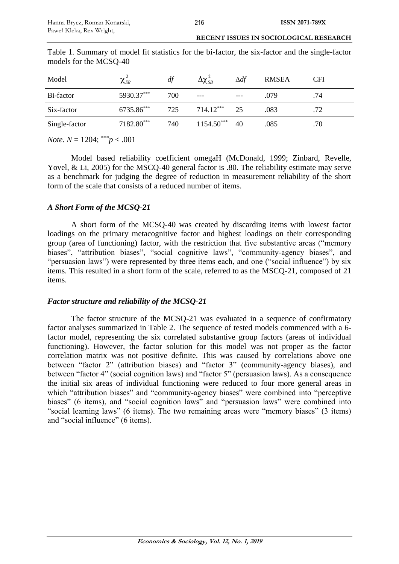|                        | <b>RECENT ISSUES IN SOCIOLOGICAL RESEARCH</b> |  |  |  |  |  |  |  |
|------------------------|-----------------------------------------------|--|--|--|--|--|--|--|
| 110. 110. 110. 120. 14 |                                               |  |  |  |  |  |  |  |

| Model         | $\chi_{SB}^{-}$ | df  | $\Delta\chi_{\scriptscriptstyle SB}^{\scriptscriptstyle L}$ | $\Delta df$ | <b>RMSEA</b> | <b>CFI</b> |
|---------------|-----------------|-----|-------------------------------------------------------------|-------------|--------------|------------|
| Bi-factor     | 5930.37***      | 700 | ---                                                         |             | .079         | .74        |
| Six-factor    | $6735.86***$    | 725 | $714.12***$                                                 | 25          | .083         | .72        |
| Single-factor | 7182.80***      | 740 | $1154.50***$                                                | 40          | .085         | .70        |

Table 1. Summary of model fit statistics for the bi-factor, the six-factor and the single-factor models for the MCSQ-40

*Note*.  $N = 1204$ ; \*\*\**p* < .001

Model based reliability coefficient omegaH (McDonald, 1999; Zinbard, Revelle, Yovel, & Li, 2005) for the MSCQ-40 general factor is .80. The reliability estimate may serve as a benchmark for judging the degree of reduction in measurement reliability of the short form of the scale that consists of a reduced number of items.

## *A Short Form of the MCSQ-21*

A short form of the MCSQ-40 was created by discarding items with lowest factor loadings on the primary metacognitive factor and highest loadings on their corresponding group (area of functioning) factor, with the restriction that five substantive areas ("memory biases", "attribution biases", "social cognitive laws", "community-agency biases", and "persuasion laws") were represented by three items each, and one ("social influence") by six items. This resulted in a short form of the scale, referred to as the MSCQ-21, composed of 21 items.

## *Factor structure and reliability of the MCSQ-21*

The factor structure of the MCSQ-21 was evaluated in a sequence of confirmatory factor analyses summarized in Table 2. The sequence of tested models commenced with a 6 factor model, representing the six correlated substantive group factors (areas of individual functioning). However, the factor solution for this model was not proper as the factor correlation matrix was not positive definite. This was caused by correlations above one between "factor 2" (attribution biases) and "factor 3" (community-agency biases), and between "factor 4" (social cognition laws) and "factor 5" (persuasion laws). As a consequence the initial six areas of individual functioning were reduced to four more general areas in which "attribution biases" and "community-agency biases" were combined into "perceptive biases" (6 items), and "social cognition laws" and "persuasion laws" were combined into "social learning laws" (6 items). The two remaining areas were "memory biases" (3 items) and "social influence" (6 items).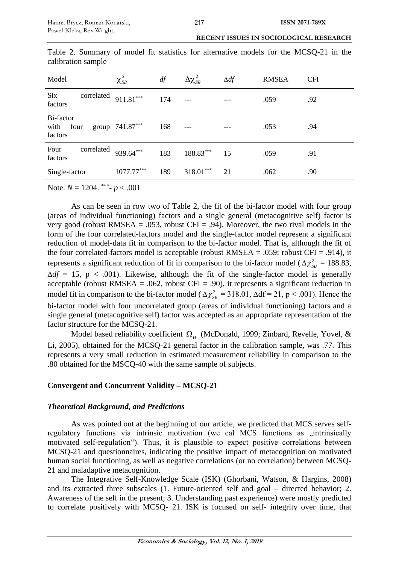| Model                                | $\chi^2_{\textit{SB}}$ | df  | $\Delta\chi^2_{\scriptscriptstyle SB}$ | $\Delta df$ | <b>RMSEA</b> | <b>CFI</b> |
|--------------------------------------|------------------------|-----|----------------------------------------|-------------|--------------|------------|
| <b>Six</b><br>correlated<br>factors  | $911.81***$            | 174 |                                        |             | .059         | .92        |
| Bi-factor<br>with<br>four<br>factors | group 741.87***        | 168 |                                        |             | .053         | .94        |
| Four<br>correlated<br>factors        | 939.64***              | 183 | 188.83***                              | 15          | .059         | .91        |
| Single-factor                        | $1077.77***$           | 189 | $318.01***$                            | 21          | .062         | .90        |

Table 2. Summary of model fit statistics for alternative models for the MCSQ-21 in the calibration sample

Note. *N* = 1204. \*\*\* - *p* < .001

As can be seen in row two of Table 2, the fit of the bi-factor model with four group (areas of individual functioning) factors and a single general (metacognitive self) factor is very good (robust RMSEA = .053, robust CFI = .94). Moreover, the two rival models in the form of the four correlated-factors model and the single-factor model represent a significant reduction of model-data fit in comparison to the bi-factor model. That is, although the fit of the four correlated-factors model is acceptable (robust RMSEA = .059; robust CFI = .914), it represents a significant reduction of fit in comparison to the bi-factor model ( $\Delta \chi_{SB}^2 = 188.83$ ,  $\Delta df = 15$ , p < .001). Likewise, although the fit of the single-factor model is generally acceptable (robust RMSEA = .062, robust CFI = .90), it represents a significant reduction in model fit in comparison to the bi-factor model ( $\Delta \chi_{SB}^2 = 318.01$ ,  $\Delta df = 21$ , p < .001). Hence the bi-factor model with four uncorrelated group (areas of individual functioning) factors and a single general (metacognitive self) factor was accepted as an appropriate representation of the factor structure for the MCSQ-21.

Model based reliability coefficient  $\Omega$ <sub>H</sub> (McDonald, 1999; Zinbard, Revelle, Yovel, & Li, 2005), obtained for the MCSQ-21 general factor in the calibration sample, was .77. This represents a very small reduction in estimated measurement reliability in comparison to the .80 obtained for the MSCQ-40 with the same sample of subjects.

## **Convergent and Concurrent Validity – MCSQ-21**

## *Theoretical Background, and Predictions*

As was pointed out at the beginning of our article, we predicted that MCS serves selfregulatory functions via intrinsic motivation (we cal MCS functions as "intrinsically motivated self-regulation"). Thus, it is plausible to expect positive correlations between MCSQ-21 and questionnaires, indicating the positive impact of metacognition on motivated human social functioning, as well as negative correlations (or no correlation) between MCSQ-21 and maladaptive metacognition.

The Integrative Self-Knowledge Scale (ISK) (Ghorbani, Watson, & Hargins, 2008) and its extracted three subscales (1. Future-oriented self and goal – directed behavior; 2. Awareness of the self in the present; 3. Understanding past experience) were mostly predicted to correlate positively with MCSQ- 21. ISK is focused on self- integrity over time, that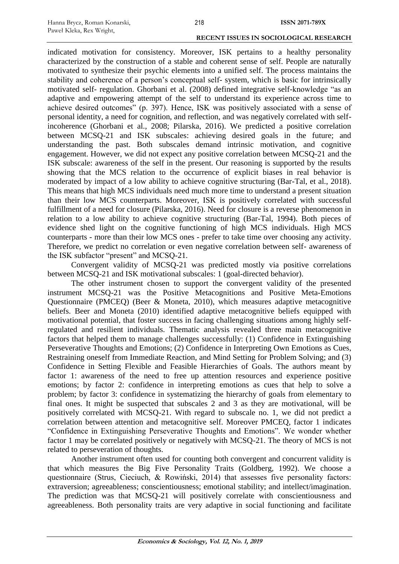indicated motivation for consistency. Moreover, ISK pertains to a healthy personality characterized by the construction of a stable and coherent sense of self. People are naturally motivated to synthesize their psychic elements into a unified self. The process maintains the stability and coherence of a person's conceptual self- system, which is basic for intrinsically motivated self- regulation. Ghorbani et al. (2008) defined integrative self-knowledge "as an adaptive and empowering attempt of the self to understand its experience across time to achieve desired outcomes" (p. 397). Hence, ISK was positively associated with a sense of personal identity, a need for cognition, and reflection, and was negatively correlated with selfincoherence (Ghorbani et al., 2008; Pilarska, 2016). We predicted a positive correlation between MCSQ-21 and ISK subscales: achieving desired goals in the future; and understanding the past. Both subscales demand intrinsic motivation, and cognitive engagement. However, we did not expect any positive correlation between MCSQ-21 and the ISK subscale: awareness of the self in the present. Our reasoning is supported by the results showing that the MCS relation to the occurrence of explicit biases in real behavior is moderated by impact of a low ability to achieve cognitive structuring (Bar-Tal, et al., 2018). This means that high MCS individuals need much more time to understand a present situation than their low MCS counterparts. Moreover, ISK is positively correlated with successful fulfillment of a need for closure (Pilarska, 2016). Need for closure is a reverse phenomenon in relation to a low ability to achieve cognitive structuring (Bar-Tal, 1994). Both pieces of evidence shed light on the cognitive functioning of high MCS individuals. High MCS counterparts - more than their low MCS ones - prefer to take time over choosing any activity. Therefore, we predict no correlation or even negative correlation between self- awareness of the ISK subfactor "present" and MCSQ-21.

Convergent validity of MCSQ-21 was predicted mostly via positive correlations between MCSQ-21 and ISK motivational subscales: 1 (goal-directed behavior).

The other instrument chosen to support the convergent validity of the presented instrument MCSQ-21 was the Positive Metacognitions and Positive Meta-Emotions Questionnaire (PMCEQ) (Beer & Moneta, 2010), which measures adaptive metacognitive beliefs. Beer and Moneta (2010) identified adaptive metacognitive beliefs equipped with motivational potential, that foster success in facing challenging situations among highly selfregulated and resilient individuals. Thematic analysis revealed three main metacognitive factors that helped them to manage challenges successfully: (1) Confidence in Extinguishing Perseverative Thoughts and Emotions; (2) Confidence in Interpreting Own Emotions as Cues, Restraining oneself from Immediate Reaction, and Mind Setting for Problem Solving; and (3) Confidence in Setting Flexible and Feasible Hierarchies of Goals. The authors meant by factor 1: awareness of the need to free up attention resources and experience positive emotions; by factor 2: confidence in interpreting emotions as cues that help to solve a problem; by factor 3: confidence in systematizing the hierarchy of goals from elementary to final ones. It might be suspected that subscales 2 and 3 as they are motivational, will be positively correlated with MCSQ-21. With regard to subscale no. 1, we did not predict a correlation between attention and metacognitive self. Moreover PMCEQ, factor 1 indicates "Confidence in Extinguishing Perseverative Thoughts and Emotions". We wonder whether factor 1 may be correlated positively or negatively with MCSQ-21. The theory of MCS is not related to perseveration of thoughts.

Another instrument often used for counting both convergent and concurrent validity is that which measures the Big Five Personality Traits (Goldberg, 1992). We choose a questionnaire (Strus, Cieciuch, & Rowiński, 2014) that assesses five personality factors: extraversion; agreeableness; conscientiousness; emotional stability; and intellect/imagination. The prediction was that MCSQ-21 will positively correlate with conscientiousness and agreeableness. Both personality traits are very adaptive in social functioning and facilitate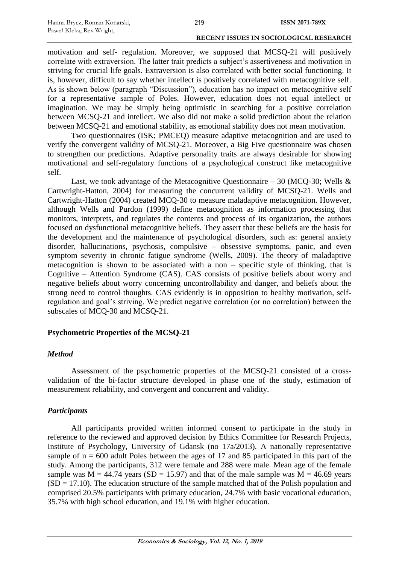motivation and self- regulation. Moreover, we supposed that MCSQ-21 will positively correlate with extraversion. The latter trait predicts a subject's assertiveness and motivation in striving for crucial life goals. Extraversion is also correlated with better social functioning. It is, however, difficult to say whether intellect is positively correlated with metacognitive self. As is shown below (paragraph "Discussion"), education has no impact on metacognitive self for a representative sample of Poles. However, education does not equal intellect or imagination. We may be simply being optimistic in searching for a positive correlation between MCSQ-21 and intellect. We also did not make a solid prediction about the relation between MCSQ-21 and emotional stability, as emotional stability does not mean motivation.

Two questionnaires (ISK; PMCEQ) measure adaptive metacognition and are used to verify the convergent validity of MCSQ-21. Moreover, a Big Five questionnaire was chosen to strengthen our predictions. Adaptive personality traits are always desirable for showing motivational and self-regulatory functions of a psychological construct like metacognitive self.

Last, we took advantage of the Metacognitive Ouestionnaire – 30 (MCO-30; Wells  $\&$ Cartwright-Hatton, 2004) for measuring the concurrent validity of MCSQ-21. Wells and Cartwright-Hatton (2004) created MCQ-30 to measure maladaptive metacognition. However, although Wells and Purdon (1999) define metacognition as information processing that monitors, interprets, and regulates the contents and process of its organization, the authors focused on dysfunctional metacognitive beliefs. They assert that these beliefs are the basis for the development and the maintenance of psychological disorders, such as: general anxiety disorder, hallucinations, psychosis, compulsive – obsessive symptoms, panic, and even symptom severity in chronic fatigue syndrome (Wells, 2009). The theory of maladaptive metacognition is shown to be associated with a non – specific style of thinking, that is Cognitive – Attention Syndrome (CAS). CAS consists of positive beliefs about worry and negative beliefs about worry concerning uncontrollability and danger, and beliefs about the strong need to control thoughts. CAS evidently is in opposition to healthy motivation, selfregulation and goal's striving. We predict negative correlation (or no correlation) between the subscales of MCQ-30 and MCSQ-21.

#### **Psychometric Properties of the MCSQ-21**

#### *Method*

Assessment of the psychometric properties of the MCSQ-21 consisted of a crossvalidation of the bi-factor structure developed in phase one of the study, estimation of measurement reliability, and convergent and concurrent and validity.

## *Participants*

All participants provided written informed consent to participate in the study in reference to the reviewed and approved decision by Ethics Committee for Research Projects, Institute of Psychology, University of Gdansk (no 17a/2013). A nationally representative sample of  $n = 600$  adult Poles between the ages of 17 and 85 participated in this part of the study. Among the participants, 312 were female and 288 were male. Mean age of the female sample was  $M = 44.74$  years (SD = 15.97) and that of the male sample was  $M = 46.69$  years  $(SD = 17.10)$ . The education structure of the sample matched that of the Polish population and comprised 20.5% participants with primary education, 24.7% with basic vocational education, 35.7% with high school education, and 19.1% with higher education.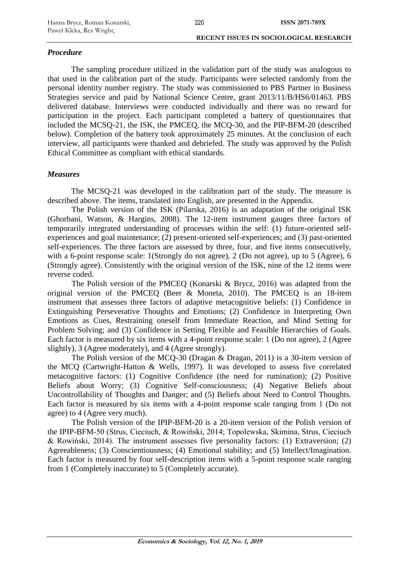## *Procedure*

The sampling procedure utilized in the validation part of the study was analogous to that used in the calibration part of the study. Participants were selected randomly from the personal identity number registry. The study was commissioned to PBS Partner in Business Strategies service and paid by National Science Centre, grant 2013/11/B/HS6/01463. PBS delivered database. Interviews were conducted individually and there was no reward for participation in the project. Each participant completed a battery of questionnaires that included the MCSQ-21, the ISK, the PMCEQ, the MCQ-30, and the PIP-BFM-20 (described below). Completion of the battery took approximately 25 minutes. At the conclusion of each interview, all participants were thanked and debriefed. The study was approved by the Polish Ethical Committee as compliant with ethical standards.

## *Measures*

The MCSQ-21 was developed in the calibration part of the study. The measure is described above. The items, translated into English, are presented in the Appendix.

The Polish version of the ISK (Pilarska, 2016) is an adaptation of the original ISK (Ghorbani, Watson, & Hargins, 2008). The 12-item instrument gauges three factors of temporarily integrated understanding of processes within the self: (1) future-oriented selfexperiences and goal maintenance; (2) present-oriented self-experiences; and (3) past-oriented self-experiences. The three factors are assessed by three, four, and five items consecutively, with a 6-point response scale: 1(Strongly do not agree), 2 (Do not agree), up to 5 (Agree), 6 (Strongly agree). Consistently with the original version of the ISK, nine of the 12 items were reverse coded.

The Polish version of the PMCEQ (Konarski & Brycz, 2016) was adapted from the original version of the PMCEQ (Beer & Moneta, 2010). The PMCEQ is an 18-item instrument that assesses three factors of adaptive metacognitive beliefs: (1) Confidence in Extinguishing Perseverative Thoughts and Emotions; (2) Confidence in Interpreting Own Emotions as Cues, Restraining oneself from Immediate Reaction, and Mind Setting for Problem Solving; and (3) Confidence in Setting Flexible and Feasible Hierarchies of Goals. Each factor is measured by six items with a 4-point response scale: 1 (Do not agree), 2 (Agree slightly), 3 (Agree moderately), and 4 (Agree strongly).

The Polish version of the MCQ-30 (Dragan & Dragan, 2011) is a 30-item version of the MCQ (Cartwright-Hatton & Wells, 1997). It was developed to assess five correlated metacognitive factors: (1) Cognitive Confidence (the need for rumination); (2) Positive Beliefs about Worry; (3) Cognitive Self-consciousness; (4) Negative Beliefs about Uncontrollability of Thoughts and Danger; and (5) Beliefs about Need to Control Thoughts. Each factor is measured by six items with a 4-point response scale ranging from 1 (Do not agree) to 4 (Agree very much).

The Polish version of the IPIP-BFM-20 is a 20-item version of the Polish version of the IPIP-BFM-50 (Strus, Cieciuch, & Rowiński, 2014; Topolewska, Skimina, Strus, Cieciuch & Rowiński, 2014). The instrument assesses five personality factors: (1) Extraversion; (2) Agreeableness; (3) Conscientiousness; (4) Emotional stability; and (5) Intellect/Imagination. Each factor is measured by four self-description items with a 5-point response scale ranging from 1 (Completely inaccurate) to 5 (Completely accurate).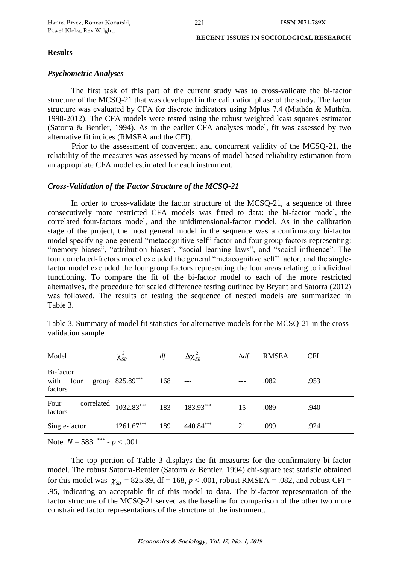#### **Results**

## *Psychometric Analyses*

The first task of this part of the current study was to cross-validate the bi-factor structure of the MCSQ-21 that was developed in the calibration phase of the study. The factor structure was evaluated by CFA for discrete indicators using Mplus 7.4 (Muthén & Muthén, 1998-2012). The CFA models were tested using the robust weighted least squares estimator (Satorra & Bentler, 1994). As in the earlier CFA analyses model, fit was assessed by two alternative fit indices (RMSEA and the CFI).

Prior to the assessment of convergent and concurrent validity of the MCSQ-21, the reliability of the measures was assessed by means of model-based reliability estimation from an appropriate CFA model estimated for each instrument.

## *Cross-Validation of the Factor Structure of the MCSQ-21*

In order to cross-validate the factor structure of the MCSQ-21, a sequence of three consecutively more restricted CFA models was fitted to data: the bi-factor model, the correlated four-factors model, and the unidimensional-factor model. As in the calibration stage of the project, the most general model in the sequence was a confirmatory bi-factor model specifying one general "metacognitive self" factor and four group factors representing: "memory biases", "attribution biases", "social learning laws", and "social influence". The four correlated-factors model excluded the general "metacognitive self" factor, and the singlefactor model excluded the four group factors representing the four areas relating to individual functioning. To compare the fit of the bi-factor model to each of the more restricted alternatives, the procedure for scaled difference testing outlined by Bryant and Satorra (2012) was followed. The results of testing the sequence of nested models are summarized in Table 3.

| Model                             | $\chi^2_{\scriptscriptstyle SB}$ | df  | $\Delta\chi^2_{\scriptscriptstyle SB}$ | $\Delta df$ | <b>RMSEA</b> | <b>CFI</b> |
|-----------------------------------|----------------------------------|-----|----------------------------------------|-------------|--------------|------------|
| Bi-factor<br>with four<br>factors | group $825.89***$                | 168 | $---$                                  |             | .082         | .953       |
| Four<br>correlated<br>factors     | $1032.83***$                     | 183 | 183.93***                              | 15          | .089         | .940       |
| Single-factor                     | $1261.67***$                     | 189 | 440.84***                              | 21          | .099         | .924       |
|                                   |                                  |     |                                        |             |              |            |

Table 3. Summary of model fit statistics for alternative models for the MCSQ-21 in the crossvalidation sample

Note. *N* = 583. \*\*\* - *p* < .001

The top portion of Table 3 displays the fit measures for the confirmatory bi-factor model. The robust Satorra-Bentler (Satorra & Bentler, 1994) chi-square test statistic obtained for this model was  $\chi_{SB}^2 = 825.89$ , df = 168,  $p < .001$ , robust RMSEA = .082, and robust CFI = .95, indicating an acceptable fit of this model to data. The bi-factor representation of the factor structure of the MCSQ-21 served as the baseline for comparison of the other two more constrained factor representations of the structure of the instrument.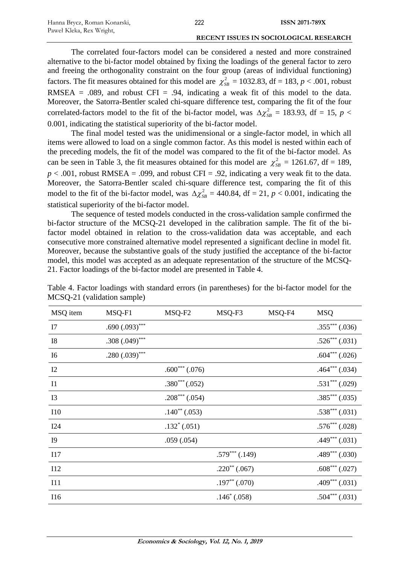The correlated four-factors model can be considered a nested and more constrained alternative to the bi-factor model obtained by fixing the loadings of the general factor to zero and freeing the orthogonality constraint on the four group (areas of individual functioning) factors. The fit measures obtained for this model are  $\chi^2_{SB} = 1032.83$ , df = 183, *p* < .001, robust RMSEA = .089, and robust CFI = .94, indicating a weak fit of this model to the data. Moreover, the Satorra-Bentler scaled chi-square difference test, comparing the fit of the four correlated-factors model to the fit of the bi-factor model, was  $\Delta \chi_{SB}^2 = 183.93$ , df = 15, *p* < 0.001, indicating the statistical superiority of the bi-factor model.

The final model tested was the unidimensional or a single-factor model, in which all items were allowed to load on a single common factor. As this model is nested within each of the preceding models, the fit of the model was compared to the fit of the bi-factor model. As can be seen in Table 3, the fit measures obtained for this model are  $\chi^2_{SB} = 1261.67$ , df = 189,  $p < .001$ , robust RMSEA = .099, and robust CFI = .92, indicating a very weak fit to the data. Moreover, the Satorra-Bentler scaled chi-square difference test, comparing the fit of this model to the fit of the bi-factor model, was  $\Delta \chi_{SB}^2 = 440.84$ , df = 21, *p* < 0.001, indicating the statistical superiority of the bi-factor model.

The sequence of tested models conducted in the cross-validation sample confirmed the bi-factor structure of the MCSQ-21 developed in the calibration sample. The fit of the bifactor model obtained in relation to the cross-validation data was acceptable, and each consecutive more constrained alternative model represented a significant decline in model fit. Moreover, because the substantive goals of the study justified the acceptance of the bi-factor model, this model was accepted as an adequate representation of the structure of the MCSQ-21. Factor loadings of the bi-factor model are presented in Table 4.

| MSQ item       | MSQ-F1            | MSQ-F2             | MSQ-F3             | MSQ-F4 | <b>MSQ</b>         |
|----------------|-------------------|--------------------|--------------------|--------|--------------------|
| I7             | $.690(.093)$ ***  |                    |                    |        | $.355***$ $(.036)$ |
| <b>I8</b>      | $.308(.049)$ ***  |                    |                    |        | $.526***$ $(.031)$ |
| I6             | .280 $(.039)$ *** |                    |                    |        | $.604***$ $(.026)$ |
| 12             |                   | $.600***$ $(.076)$ |                    |        | $.464***$ $(.034)$ |
| <b>I1</b>      |                   | $.380^{***}(.052)$ |                    |        | $.531***$ $(.029)$ |
| I3             |                   | $.208***(.054)$    |                    |        | $.385***(.035)$    |
| <b>I10</b>     |                   | $.140^{**}(.053)$  |                    |        | $.538***$ $(.031)$ |
| I24            |                   | $.132^*$ (.051)    |                    |        | $.576***$ (.028)   |
| I <sub>9</sub> |                   | .059(.054)         |                    |        | $.449***$ $(.031)$ |
| I17            |                   |                    | $.579***$ $(.149)$ |        | $.489***$ $(.030)$ |
| I12            |                   |                    | $.220^{**}(.067)$  |        | $.608***$ $(.027)$ |
| I11            |                   |                    | $.197^{**}(.070)$  |        | $.409***(.031)$    |
| I16            |                   |                    | $.146^*$ (.058)    |        | $.504***(.031)$    |

Table 4. Factor loadings with standard errors (in parentheses) for the bi-factor model for the MCSQ-21 (validation sample)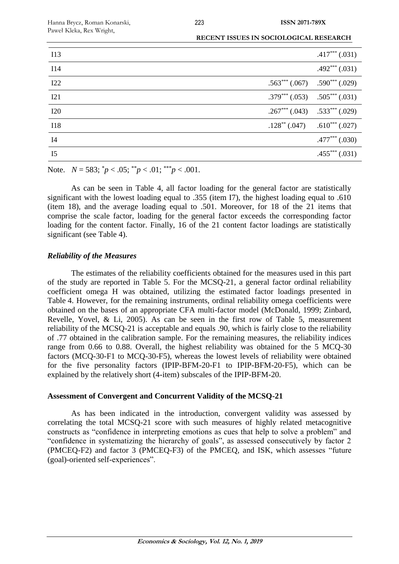| I13            |                                       | $.417***$ $(.031)$                    |
|----------------|---------------------------------------|---------------------------------------|
| <b>I14</b>     |                                       | $.492***(.031)$                       |
| I22            |                                       | $.563***(.067)$ $.590***(.029)$       |
| I21            | $.379^{***}(.053)$ $.505^{***}(.031)$ |                                       |
| I20            |                                       | $.267***$ $(.043)$ $.533***$ $(.029)$ |
| <b>I18</b>     | $.128^{**}$ (.047)                    | $.610***$ $(.027)$                    |
| I4             |                                       | $.477***$ $(.030)$                    |
| I <sub>5</sub> |                                       | $.455***(0.031)$                      |

Note.  $N = 583$ ;  $\binom{*}{P} < .05$ ;  $\binom{*}{P} < .01$ ;  $\binom{*}{P} < .001$ .

As can be seen in Table 4, all factor loading for the general factor are statistically significant with the lowest loading equal to .355 (item I7), the highest loading equal to .610 (item 18), and the average loading equal to .501. Moreover, for 18 of the 21 items that comprise the scale factor, loading for the general factor exceeds the corresponding factor loading for the content factor. Finally, 16 of the 21 content factor loadings are statistically significant (see Table 4).

## *Reliability of the Measures*

The estimates of the reliability coefficients obtained for the measures used in this part of the study are reported in Table 5. For the MCSQ-21, a general factor ordinal reliability coefficient omega H was obtained, utilizing the estimated factor loadings presented in Table 4. However, for the remaining instruments, ordinal reliability omega coefficients were obtained on the bases of an appropriate CFA multi-factor model (McDonald, 1999; Zinbard, Revelle, Yovel, & Li, 2005). As can be seen in the first row of Table 5, measurement reliability of the MCSQ-21 is acceptable and equals .90, which is fairly close to the reliability of .77 obtained in the calibration sample. For the remaining measures, the reliability indices range from 0.66 to 0.88. Overall, the highest reliability was obtained for the 5 MCQ-30 factors (MCQ-30-F1 to MCQ-30-F5), whereas the lowest levels of reliability were obtained for the five personality factors (IPIP-BFM-20-F1 to IPIP-BFM-20-F5), which can be explained by the relatively short (4-item) subscales of the IPIP-BFM-20.

## **Assessment of Convergent and Concurrent Validity of the MCSQ-21**

As has been indicated in the introduction, convergent validity was assessed by correlating the total MCSQ-21 score with such measures of highly related metacognitive constructs as "confidence in interpreting emotions as cues that help to solve a problem" and "confidence in systematizing the hierarchy of goals", as assessed consecutively by factor 2 (PMCEQ-F2) and factor 3 (PMCEQ-F3) of the PMCEQ, and ISK, which assesses "future (goal)-oriented self-experiences".

**Economics & Sociology, Vol. 12, No. 1, 2019**

223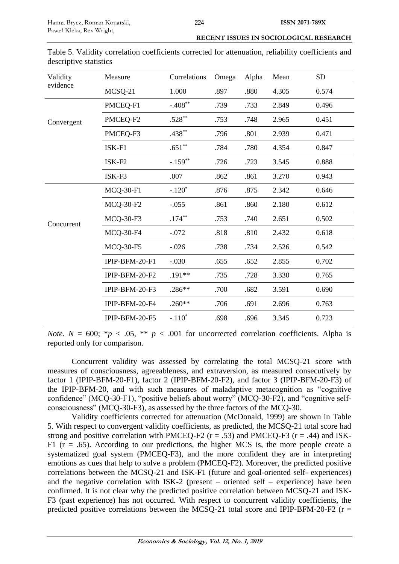.698 .696 3.345 0.723

| Validity   | Measure            | Correlations | Omega | Alpha | Mean  | <b>SD</b> |
|------------|--------------------|--------------|-------|-------|-------|-----------|
| evidence   | MCSQ-21            | 1.000        | .897  | .880  | 4.305 | 0.574     |
|            | PMCEQ-F1           | $-.408**$    | .739  | .733  | 2.849 | 0.496     |
| Convergent | PMCEQ-F2           | $.528**$     | .753  | .748  | 2.965 | 0.451     |
|            | PMCEQ-F3           | $.438***$    | .796  | .801  | 2.939 | 0.471     |
|            | $ISK-F1$           | $.651**$     | .784  | .780  | 4.354 | 0.847     |
|            | ISK-F <sub>2</sub> | $-.159**$    | .726  | .723  | 3.545 | 0.888     |
|            | ISK-F3             | .007         | .862  | .861  | 3.270 | 0.943     |
|            | <b>MCQ-30-F1</b>   | $-.120*$     | .876  | .875  | 2.342 | 0.646     |
|            | <b>MCQ-30-F2</b>   | $-.055$      | .861  | .860  | 2.180 | 0.612     |
| Concurrent | <b>MCQ-30-F3</b>   | $.174***$    | .753  | .740  | 2.651 | 0.502     |
|            | <b>MCQ-30-F4</b>   | $-.072$      | .818  | .810  | 2.432 | 0.618     |
|            | <b>MCQ-30-F5</b>   | $-0.026$     | .738  | .734  | 2.526 | 0.542     |
|            | IPIP-BFM-20-F1     | $-.030$      | .655  | .652  | 2.855 | 0.702     |
|            | IPIP-BFM-20-F2     | .191**       | .735  | .728  | 3.330 | 0.765     |
|            | IPIP-BFM-20-F3     | .286**       | .700  | .682  | 3.591 | 0.690     |
|            | IPIP-BFM-20-F4     | $.260**$     | .706  | .691  | 2.696 | 0.763     |

Table 5. Validity correlation coefficients corrected for attenuation, reliability coefficients and descriptive statistics

*Note*.  $N = 600$ ; \**p* < .05, \*\* *p* < .001 for uncorrected correlation coefficients. Alpha is reported only for comparison.

 $IPIP-BFM-20-F5 -110^*$ 

Concurrent validity was assessed by correlating the total MCSQ-21 score with measures of consciousness, agreeableness, and extraversion, as measured consecutively by factor 1 (IPIP-BFM-20-F1), factor 2 (IPIP-BFM-20-F2), and factor 3 (IPIP-BFM-20-F3) of the IPIP-BFM-20, and with such measures of maladaptive metacognition as "cognitive confidence" (MCQ-30-F1), "positive beliefs about worry" (MCQ-30-F2), and "cognitive selfconsciousness" (MCQ-30-F3), as assessed by the three factors of the MCQ-30.

Validity coefficients corrected for attenuation (McDonald, 1999) are shown in Table 5. With respect to convergent validity coefficients, as predicted, the MCSQ-21 total score had strong and positive correlation with PMCEQ-F2 ( $r = .53$ ) and PMCEQ-F3 ( $r = .44$ ) and ISK-F1 ( $r = .65$ ). According to our predictions, the higher MCS is, the more people create a systematized goal system (PMCEQ-F3), and the more confident they are in interpreting emotions as cues that help to solve a problem (PMCEQ-F2). Moreover, the predicted positive correlations between the MCSQ-21 and ISK-F1 (future and goal-oriented self- experiences) and the negative correlation with ISK-2 (present – oriented self – experience) have been confirmed. It is not clear why the predicted positive correlation between MCSQ-21 and ISK-F3 (past experience) has not occurred. With respect to concurrent validity coefficients, the predicted positive correlations between the MCSQ-21 total score and IPIP-BFM-20-F2 ( $r =$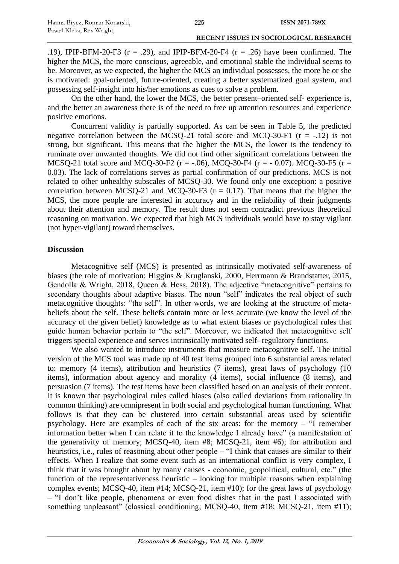.19), IPIP-BFM-20-F3 ( $r = .29$ ), and IPIP-BFM-20-F4 ( $r = .26$ ) have been confirmed. The higher the MCS, the more conscious, agreeable, and emotional stable the individual seems to be. Moreover, as we expected, the higher the MCS an individual possesses, the more he or she is motivated: goal-oriented, future-oriented, creating a better systematized goal system, and possessing self-insight into his/her emotions as cues to solve a problem.

On the other hand, the lower the MCS, the better present–oriented self- experience is, and the better an awareness there is of the need to free up attention resources and experience positive emotions.

Concurrent validity is partially supported. As can be seen in Table 5, the predicted negative correlation between the MCSQ-21 total score and MCQ-30-F1  $(r = -12)$  is not strong, but significant. This means that the higher the MCS, the lower is the tendency to ruminate over unwanted thoughts. We did not find other significant correlations between the MCSQ-21 total score and MCQ-30-F2 ( $r = -0.06$ ), MCQ-30-F4 ( $r = -0.07$ ). MCQ-30-F5 ( $r =$ 0.03). The lack of correlations serves as partial confirmation of our predictions. MCS is not related to other unhealthy subscales of MCSQ-30. We found only one exception: a positive correlation between MCSQ-21 and MCQ-30-F3 ( $r = 0.17$ ). That means that the higher the MCS, the more people are interested in accuracy and in the reliability of their judgments about their attention and memory. The result does not seem contradict previous theoretical reasoning on motivation. We expected that high MCS individuals would have to stay vigilant (not hyper-vigilant) toward themselves.

#### **Discussion**

Metacognitive self (MCS) is presented as intrinsically motivated self-awareness of biases (the role of motivation: Higgins & Kruglanski, 2000, Herrmann & Brandstatter, 2015, Gendolla & Wright, 2018, Queen & Hess, 2018). The adjective "metacognitive" pertains to secondary thoughts about adaptive biases. The noun "self" indicates the real object of such metacognitive thoughts: "the self". In other words, we are looking at the structure of metabeliefs about the self. These beliefs contain more or less accurate (we know the level of the accuracy of the given belief) knowledge as to what extent biases or psychological rules that guide human behavior pertain to "the self". Moreover, we indicated that metacognitive self triggers special experience and serves intrinsically motivated self- regulatory functions.

We also wanted to introduce instruments that measure metacognitive self. The initial version of the MCS tool was made up of 40 test items grouped into 6 substantial areas related to: memory (4 items), attribution and heuristics (7 items), great laws of psychology (10 items), information about agency and morality (4 items), social influence (8 items), and persuasion (7 items). The test items have been classified based on an analysis of their content. It is known that psychological rules called biases (also called deviations from rationality in common thinking) are omnipresent in both social and psychological human functioning. What follows is that they can be clustered into certain substantial areas used by scientific psychology. Here are examples of each of the six areas: for the memory – "I remember information better when I can relate it to the knowledge I already have" (a manifestation of the generativity of memory; MCSQ-40, item #8; MCSQ-21, item #6); for attribution and heuristics, i.e., rules of reasoning about other people – "I think that causes are similar to their effects. When I realize that some event such as an international conflict is very complex, I think that it was brought about by many causes - economic, geopolitical, cultural, etc." (the function of the representativeness heuristic – looking for multiple reasons when explaining complex events; MCSQ-40, item #14; MCSQ-21, item #10); for the great laws of psychology – "I don't like people, phenomena or even food dishes that in the past I associated with something unpleasant" (classical conditioning; MCSQ-40, item #18; MCSQ-21, item #11);

225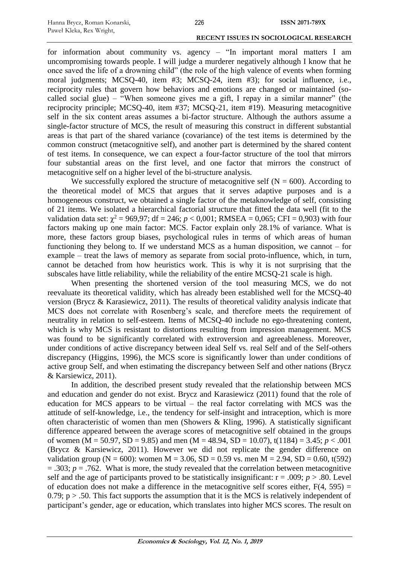for information about community vs. agency – "In important moral matters I am uncompromising towards people. I will judge a murderer negatively although I know that he once saved the life of a drowning child" (the role of the high valence of events when forming moral judgments; MCSQ-40, item #3; MCSQ-24, item #3); for social influence, i.e., reciprocity rules that govern how behaviors and emotions are changed or maintained (socalled social glue) – "When someone gives me a gift, I repay in a similar manner" (the reciprocity principle; MCSQ-40, item #37; MCSQ-21, item #19). Measuring metacognitive self in the six content areas assumes a bi-factor structure. Although the authors assume a single-factor structure of MCS, the result of measuring this construct in different substantial areas is that part of the shared variance (covariance) of the test items is determined by the common construct (metacognitive self), and another part is determined by the shared content of test items. In consequence, we can expect a four-factor structure of the tool that mirrors four substantial areas on the first level, and one factor that mirrors the construct of metacognitive self on a higher level of the bi-structure analysis.

We successfully explored the structure of metacognitive self ( $N = 600$ ). According to the theoretical model of MCS that argues that it serves adaptive purposes and is a homogeneous construct, we obtained a single factor of the metaknowledge of self, consisting of 21 items. We isolated a hierarchical factorial structure that fitted the data well (fit to the validation data set:  $\chi^2 = 969.97$ ; df = 246;  $p < 0.001$ ; RMSEA = 0.065; CFI = 0.903) with four factors making up one main factor: MCS. Factor explain only 28.1% of variance. What is more, these factors group biases, psychological rules in terms of which areas of human functioning they belong to. If we understand MCS as a human disposition, we cannot – for example – treat the laws of memory as separate from social proto-influence, which, in turn, cannot be detached from how heuristics work. This is why it is not surprising that the subscales have little reliability, while the reliability of the entire MCSQ-21 scale is high.

When presenting the shortened version of the tool measuring MCS, we do not reevaluate its theoretical validity, which has already been established well for the MCSQ-40 version (Brycz & Karasiewicz, 2011). The results of theoretical validity analysis indicate that MCS does not correlate with Rosenberg's scale, and therefore meets the requirement of neutrality in relation to self-esteem. Items of MCSQ-40 include no ego-threatening content, which is why MCS is resistant to distortions resulting from impression management. MCS was found to be significantly correlated with extroversion and agreeableness. Moreover, under conditions of active discrepancy between ideal Self vs. real Self and of the Self-others discrepancy (Higgins, 1996), the MCS score is significantly lower than under conditions of active group Self, and when estimating the discrepancy between Self and other nations (Brycz & Karsiewicz, 2011).

In addition, the described present study revealed that the relationship between MCS and education and gender do not exist. Brycz and Karasiewicz (2011) found that the role of education for MCS appears to be virtual – the real factor correlating with MCS was the attitude of self-knowledge, i.e., the tendency for self-insight and intraception, which is more often characteristic of women than men (Showers & Kling, 1996). A statistically significant difference appeared between the average scores of metacognitive self obtained in the groups of women (M = 50.97, SD = 9.85) and men (M = 48.94, SD = 10.07), t(1184) = 3.45;  $p < .001$ (Brycz & Karsiewicz, 2011). However we did not replicate the gender difference on validation group (N = 600): women M = 3.06, SD = 0.59 vs. men M = 2.94, SD = 0.60, t(592)  $= .303$ ;  $p = .762$ . What is more, the study revealed that the correlation between metacognitive self and the age of participants proved to be statistically insignificant:  $r = .009$ ;  $p > .80$ . Level of education does not make a difference in the metacognitive self scores either,  $F(4, 595) =$ 0.79;  $p > .50$ . This fact supports the assumption that it is the MCS is relatively independent of participant's gender, age or education, which translates into higher MCS scores. The result on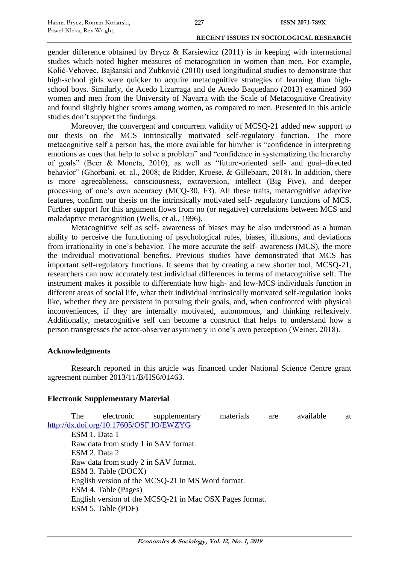gender difference obtained by Brycz & Karsiewicz (2011) is in keeping with international studies which noted higher measures of metacognition in women than men. For example, Kolić-Vehovec, Bajšanski and Zubković (2010) used longitudinal studies to demonstrate that high-school girls were quicker to acquire metacognitive strategies of learning than highschool boys. Similarly, de Acedo Lizarraga and de Acedo Baquedano (2013) examined 360 women and men from the University of Navarra with the Scale of Metacognitive Creativity and found slightly higher scores among women, as compared to men. Presented in this article studies don't support the findings.

Moreover, the convergent and concurrent validity of MCSQ-21 added new support to our thesis on the MCS intrinsically motivated self-regulatory function. The more metacognitive self a person has, the more available for him/her is "confidence in interpreting emotions as cues that help to solve a problem" and "confidence in systematizing the hierarchy of goals" (Beer & Moneta, 2010), as well as "future-oriented self- and goal–directed behavior" (Ghorbani, et. al., 2008; de Ridder, Kroese, & Gillebaart, 2018). In addition, there is more agreeableness, consciousness, extraversion, intellect (Big Five), and deeper processing of one's own accuracy (MCQ-30, F3). All these traits, metacognitive adaptive features, confirm our thesis on the intrinsically motivated self- regulatory functions of MCS. Further support for this argument flows from no (or negative) correlations between MCS and maladaptive metacognition (Wells, et al., 1996).

Metacognitive self as self- awareness of biases may be also understood as a human ability to perceive the functioning of psychological rules, biases, illusions, and deviations from irrationality in one's behavior. The more accurate the self- awareness (MCS), the more the individual motivational benefits. Previous studies have demonstrated that MCS has important self-regulatory functions. It seems that by creating a new shorter tool, MCSQ-21, researchers can now accurately test individual differences in terms of metacognitive self. The instrument makes it possible to differentiate how high- and low-MCS individuals function in different areas of social life, what their individual intrinsically motivated self-regulation looks like, whether they are persistent in pursuing their goals, and, when confronted with physical inconveniences, if they are internally motivated, autonomous, and thinking reflexively. Additionally, metacognitive self can become a construct that helps to understand how a person transgresses the actor-observer asymmetry in one's own perception (Weiner, 2018).

## **Acknowledgments**

Research reported in this article was financed under National Science Centre grant agreement number 2013/11/B/HS6/01463.

## **Electronic Supplementary Material**

The electronic supplementary materials are available at <http://dx.doi.org/10.17605/OSF.IO/EWZYG> ESM 1. Data 1 Raw data from study 1 in SAV format. ESM 2. Data 2 Raw data from study 2 in SAV format. ESM 3. Table (DOCX) English version of the MCSQ-21 in MS Word format. ESM 4. Table (Pages) English version of the MCSQ-21 in Mac OSX Pages format. ESM 5. Table (PDF)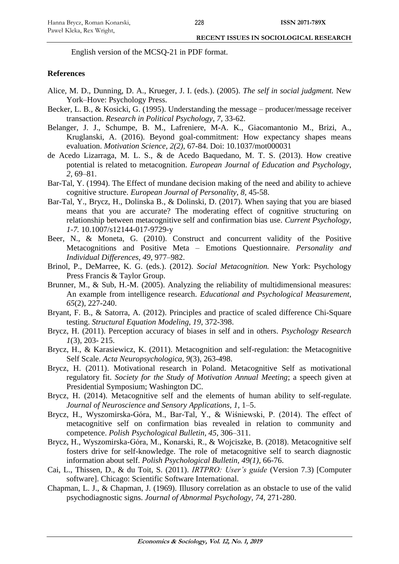English version of the MCSQ-21 in PDF format.

#### **References**

- Alice, M. D., Dunning, D. A., Krueger, J. I. (eds.). (2005). *The self in social judgment.* New York–Hove: Psychology Press.
- Becker, L. B., & Kosicki, G. (1995). Understanding the message producer/message receiver transaction. *Research in Political Psychology*, *7,* 33-62.
- Belanger, J. J., Schumpe, B. M., Lafreniere, M-A. K., Giacomantonio M., Brizi, A., Kruglanski, A. (2016). Beyond goal-commitment: How expectancy shapes means evaluation. *Motivation Science, 2(2)*, 67-84. Doi: 10.1037/mot000031
- de Acedo Lizarraga, M. L. S., & de Acedo Baquedano, M. T. S. (2013). How creative potential is related to metacognition. *European Journal of Education and Psychology*, *2,* 69–81.
- Bar-Tal, Y. (1994). The Effect of mundane decision making of the need and ability to achieve cognitive structure. *European Journal of Personality, 8,* 45-58.
- Bar-Tal, Y., Brycz, H., Dolinska B., & Dolinski, D. (2017). When saying that you are biased means that you are accurate? The moderating effect of cognitive structuring on relationship between metacognitive self and confirmation bias use. *Current Psychology, 1-7.* 10.1007/s12144-017-9729-y
- Beer, N., & Moneta, G. (2010). Construct and concurrent validity of the Positive Metacognitions and Positive Meta – Emotions Questionnaire. *Personality and Individual Differences, 49*, 977–982.
- Brinol, P., DeMarree, K. G. (eds.). (2012). *Social Metacognition.* New York: Psychology Press Francis & Taylor Group.
- Brunner, M., & Sub, H.-M. (2005). Analyzing the reliability of multidimensional measures: An example from intelligence research. *Educational and Psychological Measurement, 65*(2), 227-240.
- Bryant, F. B., & Satorra, A. (2012). Principles and practice of scaled difference Chi-Square testing. *Structural Equation Modeling, 19*, 372-398.
- Brycz, H. (2011). Perception accuracy of biases in self and in others. *Psychology Research 1*(3), 203- 215.
- Brycz, H., & Karasiewicz, K. (2011). Metacognition and self-regulation: the Metacognitive Self Scale. *Acta Neuropsychologica, 9*(3), 263-498.
- Brycz, H. (2011). Motivational research in Poland. Metacognitive Self as motivational regulatory fit. *Society for the Study of Motivation Annual Meeting*; a speech given at Presidential Symposium; Washington DC.
- Brycz, H. (2014). Metacognitive self and the elements of human ability to self-regulate. *Journal of Neuroscience and Sensory Applications, 1*, 1–5.
- Brycz, H., Wyszomirska-Góra, M., Bar-Tal, Y., & Wiśniewski, P. (2014). The effect of metacognitive self on confirmation bias revealed in relation to community and competence. *Polish Psychological Bulletin, 45*, 306–311.
- Brycz, H., Wyszomirska-Góra, M., Konarski, R., & Wojciszke, B. (2018). Metacognitive self fosters drive for self-knowledge. The role of metacognitive self to search diagnostic information about self. *Polish Psychological Bulletin, 49(1)*, 66-76.
- Cai, L., Thissen, D., & du Toit, S. (2011). *IRTPRO: User's guide* (Version 7.3) [Computer software]. Chicago: Scientific Software International.
- Chapman, L. J., & Chapman, J. (1969). Illusory correlation as an obstacle to use of the valid psychodiagnostic signs. *Journal of Abnormal Psychology, 74*, 271-280.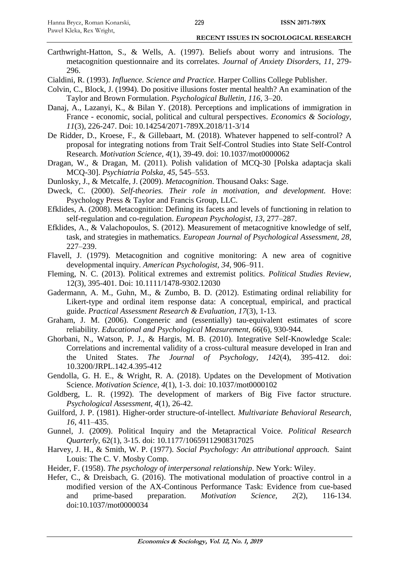- Carthwright-Hatton, S., & Wells, A. (1997). Beliefs about worry and intrusions. The metacognition questionnaire and its correlates. *Journal of Anxiety Disorders, 11*, 279- 296.
- Cialdini, R. (1993). *Influence. Science and Practice.* Harper Collins College Publisher.
- Colvin, C., Block, J. (1994). Do positive illusions foster mental health? An examination of the Taylor and Brown Formulation. *Psychological Bulletin, 116*, 3–20.
- Danaj, A., Lazanyi, K., & Bilan Y. (2018). Perceptions and implications of immigration in France - economic, social, political and cultural perspectives. *Economics & Sociology, 11*(3), 226-247. Doi: 10.14254/2071-789X.2018/11-3/14
- De Ridder, D., Kroese, F., & Gillebaart, M. (2018). Whatever happened to self-control? A proposal for integrating notions from Trait Self-Control Studies into State Self-Control Research. *Motivation Science, 4*(1), 39-49. doi: 10.1037/mot0000062
- Dragan, W., & Dragan, M. (2011). Polish validation of MCQ-30 [Polska adaptacja skali MCQ-30]. *Psychiatria Polska, 45*, 545–553.
- Dunlosky, J., & Metcalfe, J. (2009). *Metacognition*. Thousand Oaks: Sage.
- Dweck, C. (2000). *Self-theories. Their role in motivation, and development.* Hove: Psychology Press & Taylor and Francis Group, LLC.
- Efklides, A. (2008). Metacognition: Defining its facets and levels of functioning in relation to self-regulation and co-regulation. *European Psychologist, 13*, 277–287.
- Efklides, A., & Valachopoulos, S. (2012). Measurement of metacognitive knowledge of self, task, and strategies in mathematics. *European Journal of Psychological Assessment, 28,*  227–239.
- Flavell, J. (1979). Metacognition and cognitive monitoring: A new area of cognitive developmental inquiry. *American Psychologist, 34,* 906–911.
- Fleming, N. C. (2013). Political extremes and extremist politics. *Political Studies Review,*  12(3), 395-401. Doi: 10.1111/1478-9302.12030
- Gadermann, A. M., Guhn, M., & Zumbo, B. D. (2012). Estimating ordinal reliability for Likert-type and ordinal item response data: A conceptual, empirical, and practical guide. *Practical Assessment Research & Evaluation, 17*(3), 1-13.
- Graham, J. M. (2006). Congeneric and (essentially) tau-equivalent estimates of score reliability. *Educational and Psychological Measurement, 66*(6), 930-944.
- Ghorbani, N., Watson, P. J., & Hargis, M. B. (2010). Integrative Self-Knowledge Scale: Correlations and incremental validity of a cross-cultural measure developed in Iran and the United States. *The Journal of Psychology, 142*(4), 395-412. doi: 10.3200/JRPL.142.4.395-412
- Gendolla, G. H. E., & Wright, R. A. (2018). Updates on the Development of Motivation Science. *Motivation Science, 4*(1), 1-3. doi: 10.1037/mot0000102
- Goldberg, L. R. (1992). The development of markers of Big Five factor structure. *Psychological Assessment, 4*(1), 26-42.
- Guilford, J. P. (1981). Higher-order structure-of-intellect. *Multivariate Behavioral Research, 16*, 411–435.
- Gunnel, J. (2009). Political Inquiry and the Metapractical Voice. *Political Research Quarterly*, 62(1), 3-15. doi: 10.1177/10659112908317025
- Harvey, J. H., & Smith, W. P. (1977). *Social Psychology: An attributional approach.* Saint Louis: The C. V. Mosby Comp.
- Heider, F. (1958). *The psychology of interpersonal relationship*. New York: Wiley.
- Hefer, C., & Dreisbach, G. (2016). The motivational modulation of proactive control in a modified version of the AX-Continous Performance Task: Evidence from cue-based and prime-based preparation. *Motivation Science, 2*(2), 116-134. doi:10.1037/mot0000034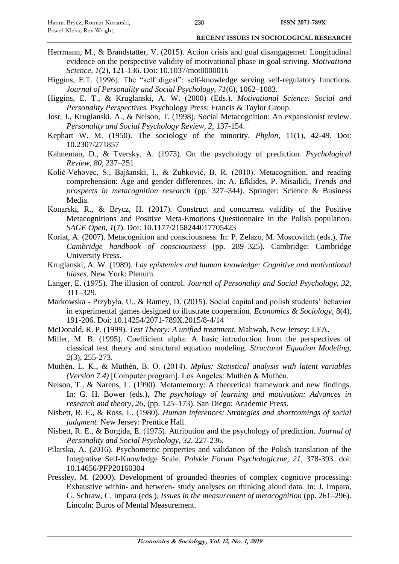- Herrmann, M., & Brandstatter, V. (2015). Action crisis and goal disangagemet: Longitudinal evidence on the perspective validity of motivational phase in goal striving. *Motivationa Science, 1*(2), 121-136. Doi: 10.1037/mot0000016
- Higgins, E.T. (1996). The "self digest": self-knowledge serving self-regulatory functions. *Journal of Personality and Social Psychology, 71*(6), 1062–1083.
- Higgins, E. T., & Kruglanski, A. W. (2000) (Eds.). *Motivational Science. Social and Personality Perspectives.* Psychology Press: Francis & Taylor Group.
- Jost, J., Kruglanski, A., & Nelson, T. (1998). Social Metacognition: An expansionist review. *Personality and Social Psychology Review, 2,* 137-154.
- Kephart W. M. (1950). The sociology of the minority. *Phylon*, 11(1), 42-49. Doi: 10.2307/271857
- Kahneman, D., & Tversky, A. (1973). On the psychology of prediction. *Psychological Review, 80*, 237–251.
- Kolić-Vehovec, S., Bajšanski, I., & Zubković, B. R. (2010). Metacognition, and reading comprehension: Age and gender differences. In: A. Efklides, P. Misailidi, *Trends and prospects in metacognition research* (pp. 327–344). Springer: Science & Business Media.
- Konarski, R., & Brycz, H. (2017). Construct and concurrent validity of the Positive Metacognitions and Positive Meta-Emotions Questionnaire in the Polish population. *SAGE Open*, *1*(7). Doi: 10.1177/2158244017705423
- Koriat, A. (2007). Metacognition and consciousness. In: P. Zelazo, M. Moscovitch (eds.), *The Cambridge handbook of consciousness* (pp. 289–325). Cambridge: Cambridge University Press.
- Kruglanski, A. W. (1989). *Lay epistemics and human knowledge: Cognitive and motivational biases.* New York: Plenum.
- Langer, E. (1975). The illusion of control. *Journal of Personality and Social Psychology, 32*, 311–329.
- Markowska Przybyła, U., & Ramey, D. (2015). Social capital and polish students' behavior in experimental games designed to illustrate cooperation. *Economics & Sociology,* 8(4), 191-206. Doi: 10.14254/2071-789X.2015/8-4/14
- McDonald, R. P. (1999). *Test Theory: A unified treatment.* Mahwah, New Jersey: LEA.
- Miller, M. B. (1995). Coefficient alpha: A basic introduction from the perspectives of classical test theory and structural equation modeling. *Structural Equation Modeling, 2*(3), 255-273.
- Muthén, L. K., & Muthén, B. O. (2014). *Mplus: Statistical analysis with latent variables (Version 7.4)* [Computer program]. Los Angeles: Muthén & Muthén.
- Nelson, T., & Narens, L. (1990). Metamemory: A theoretical framework and new findings. In: G. H. Bower (eds.), *The psychology of learning and motivation: Advances in research and theory, 26,* (pp. 125–173). San Diego: Academic Press.
- Nisbett, R. E., & Ross, L. (1980). *Human inferences: Strategies and shortcomings of social judgment.* New Jersey: Prentice Hall.
- Nisbett, R. E., & Borgida, E. (1975). Attribution and the psychology of prediction. *Journal of Personality and Social Psychology, 32*, 227-236.
- Pilarska, A. (2016). Psychometric properties and validation of the Polish translation of the Integrative Self-Knowledge Scale. *Polskie Forum Psychologiczne, 21*, 378-393. doi: 10.14656/PFP20160304
- Pressley, M. (2000). Development of grounded theories of complex cognitive processing: Exhaustive within- and between- study analyses on thinking aloud data. In: J. Impara, G. Schraw, C. Impara (eds.), *Issues in the measurement of metacognition* (pp. 261–296). Lincoln: Buros of Mental Measurement.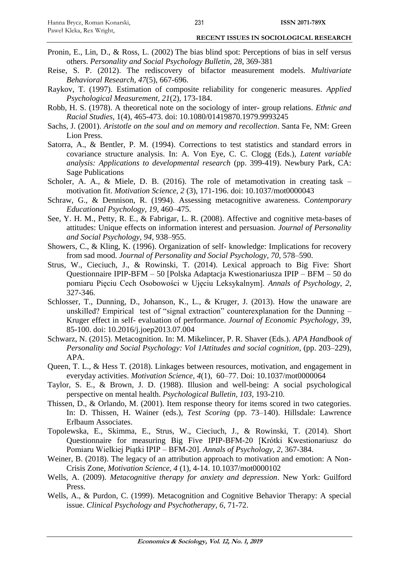- Pronin, E., Lin, D., & Ross, L. (2002) The bias blind spot: Perceptions of bias in self versus others. *Personality and Social Psychology Bulletin, 28*, 369-381
- Reise, S. P. (2012). The rediscovery of bifactor measurement models. *Multivariate Behavioral Research, 47*(5), 667-696.
- Raykov, T. (1997). Estimation of composite reliability for congeneric measures. *Applied Psychological Measurement, 21*(2), 173-184.
- Robb, H. S. (1978). A theoretical note on the sociology of inter- group relations. *Ethnic and Racial Studies,* 1(4), 465-473. doi: 10.1080/01419870.1979.9993245
- Sachs, J. (2001). *Aristotle on the soul and on memory and recollection*. Santa Fe, NM: Green Lion Press.
- Satorra, A., & Bentler, P. M. (1994). Corrections to test statistics and standard errors in covariance structure analysis. In: A. Von Eye, C. C. Clogg (Eds.), *Latent variable analysis: Applications to developmental research* (pp. 399-419). Newbury Park, CA: Sage Publications
- Scholer, A. A., & Miele, D. B. (2016). The role of metamotivation in creating task motivation fit. *Motivation Science, 2* (3), 171-196. doi: 10.1037/mot0000043
- Schraw, G., & Dennison, R. (1994). Assessing metacognitive awareness. C*ontemporary Educational Psychology, 19*, 460–475.
- See, Y. H. M., Petty, R. E., & Fabrigar, L. R. (2008). Affective and cognitive meta-bases of attitudes: Unique effects on information interest and persuasion. *Journal of Personality and Social Psychology, 94*, 938–955.
- Showers, C., & Kling, K. (1996). Organization of self- knowledge: Implications for recovery from sad mood. *Journal of Personality and Social Psychology, 70*, 578–590.
- Strus, W., Cieciuch, J., & Rowinski, T. (2014). Lexical approach to Big Five: Short Questionnaire IPIP-BFM – 50 [Polska Adaptacja Kwestionariusza IPIP – BFM – 50 do pomiaru Pięciu Cech Osobowości w Ujęciu Leksykalnym]. *Annals of Psychology, 2*, 327-346.
- Schlosser, T., Dunning, D., Johanson, K., L., & Kruger, J. (2013). How the unaware are unskilled? Empirical test of "signal extraction" counterexplanation for the Dunning – Kruger effect in self- evaluation of performance. *Journal of Economic Psychology,* 39, 85-100. doi: 10.2016/j.joep2013.07.004
- Schwarz, N. (2015). Metacognition. In: M. Mikelincer, P. R. Shaver (Eds.). *APA Handbook of Personality and Social Psychology: Vol 1Attitudes and social cognition*, (pp. 203–229), APA.
- Queen, T. L., & Hess T. (2018). Linkages between resources, motivation, and engagement in everyday activities. *Motivation Science, 4*(1), 60–77. Doi: 10.1037/mot0000064
- Taylor, S. E., & Brown, J. D. (1988). Illusion and well-being: A social psychological perspective on mental health. *Psychological Bulletin, 103*, 193-210.
- Thissen, D., & Orlando, M. (2001). Item response theory for items scored in two categories. In: D. Thissen, H. Wainer (eds.), *Test Scoring* (pp. 73–140). Hillsdale: Lawrence Erlbaum Associates.
- Topolewska, E., Skimma, E., Strus, W., Cieciuch, J., & Rowinski, T. (2014). Short Questionnaire for measuring Big Five IPIP-BFM-20 [Krótki Kwestionariusz do Pomiaru Wielkiej Piątki IPIP – BFM-20]. *Annals of Psychology, 2,* 367-384.
- Weiner, B. (2018). The legacy of an attribution approach to motivation and emotion: A Non-Crisis Zone, *Motivation Science, 4* (1), 4-14. 10.1037/mot0000102
- Wells, A. (2009). *Metacognitive therapy for anxiety and depression*. New York: Guilford Press.
- Wells, A., & Purdon, C. (1999). Metacognition and Cognitive Behavior Therapy: A special issue. *Clinical Psychology and Psychotherapy, 6*, 71-72.